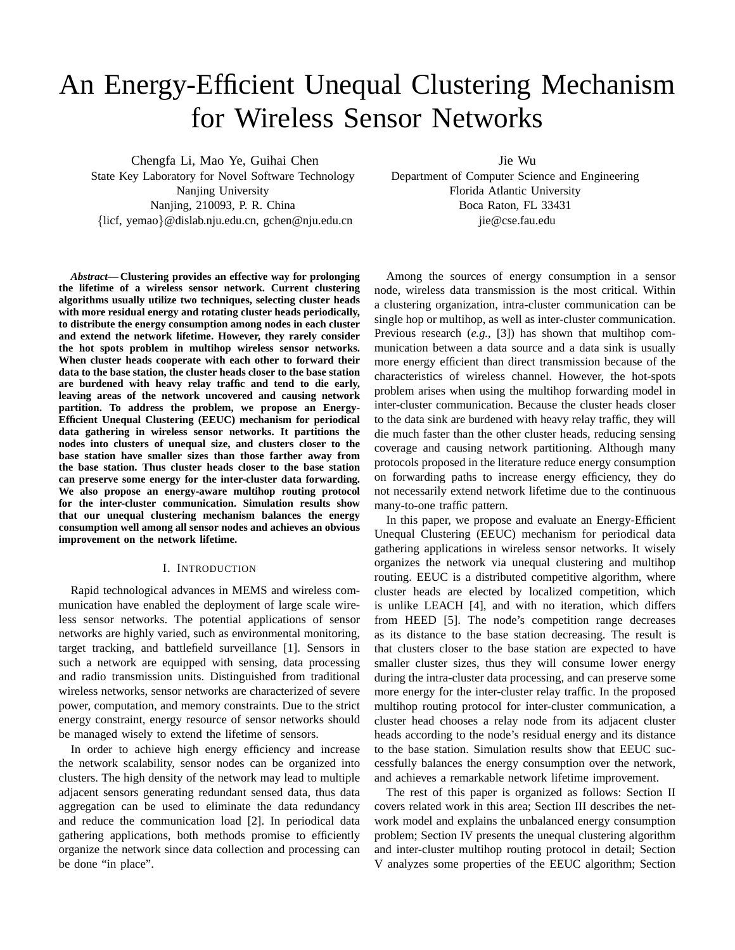# An Energy-Efficient Unequal Clustering Mechanism for Wireless Sensor Networks

Chengfa Li, Mao Ye, Guihai Chen

State Key Laboratory for Novel Software Technology Nanjing University Nanjing, 210093, P. R. China {licf, yemao}@dislab.nju.edu.cn, gchen@nju.edu.cn

*Abstract***— Clustering provides an effective way for prolonging the lifetime of a wireless sensor network. Current clustering algorithms usually utilize two techniques, selecting cluster heads with more residual energy and rotating cluster heads periodically, to distribute the energy consumption among nodes in each cluster and extend the network lifetime. However, they rarely consider the hot spots problem in multihop wireless sensor networks. When cluster heads cooperate with each other to forward their data to the base station, the cluster heads closer to the base station are burdened with heavy relay traffic and tend to die early, leaving areas of the network uncovered and causing network partition. To address the problem, we propose an Energy-Efficient Unequal Clustering (EEUC) mechanism for periodical data gathering in wireless sensor networks. It partitions the nodes into clusters of unequal size, and clusters closer to the base station have smaller sizes than those farther away from the base station. Thus cluster heads closer to the base station can preserve some energy for the inter-cluster data forwarding. We also propose an energy-aware multihop routing protocol for the inter-cluster communication. Simulation results show that our unequal clustering mechanism balances the energy consumption well among all sensor nodes and achieves an obvious improvement on the network lifetime.**

#### I. INTRODUCTION

Rapid technological advances in MEMS and wireless communication have enabled the deployment of large scale wireless sensor networks. The potential applications of sensor networks are highly varied, such as environmental monitoring, target tracking, and battlefield surveillance [1]. Sensors in such a network are equipped with sensing, data processing and radio transmission units. Distinguished from traditional wireless networks, sensor networks are characterized of severe power, computation, and memory constraints. Due to the strict energy constraint, energy resource of sensor networks should be managed wisely to extend the lifetime of sensors.

In order to achieve high energy efficiency and increase the network scalability, sensor nodes can be organized into clusters. The high density of the network may lead to multiple adjacent sensors generating redundant sensed data, thus data aggregation can be used to eliminate the data redundancy and reduce the communication load [2]. In periodical data gathering applications, both methods promise to efficiently organize the network since data collection and processing can be done "in place".

Jie Wu

Department of Computer Science and Engineering Florida Atlantic University Boca Raton, FL 33431 jie@cse.fau.edu

Among the sources of energy consumption in a sensor node, wireless data transmission is the most critical. Within a clustering organization, intra-cluster communication can be single hop or multihop, as well as inter-cluster communication. Previous research (*e.g.*, [3]) has shown that multihop communication between a data source and a data sink is usually more energy efficient than direct transmission because of the characteristics of wireless channel. However, the hot-spots problem arises when using the multihop forwarding model in inter-cluster communication. Because the cluster heads closer to the data sink are burdened with heavy relay traffic, they will die much faster than the other cluster heads, reducing sensing coverage and causing network partitioning. Although many protocols proposed in the literature reduce energy consumption on forwarding paths to increase energy efficiency, they do not necessarily extend network lifetime due to the continuous many-to-one traffic pattern.

In this paper, we propose and evaluate an Energy-Efficient Unequal Clustering (EEUC) mechanism for periodical data gathering applications in wireless sensor networks. It wisely organizes the network via unequal clustering and multihop routing. EEUC is a distributed competitive algorithm, where cluster heads are elected by localized competition, which is unlike LEACH [4], and with no iteration, which differs from HEED [5]. The node's competition range decreases as its distance to the base station decreasing. The result is that clusters closer to the base station are expected to have smaller cluster sizes, thus they will consume lower energy during the intra-cluster data processing, and can preserve some more energy for the inter-cluster relay traffic. In the proposed multihop routing protocol for inter-cluster communication, a cluster head chooses a relay node from its adjacent cluster heads according to the node's residual energy and its distance to the base station. Simulation results show that EEUC successfully balances the energy consumption over the network, and achieves a remarkable network lifetime improvement.

The rest of this paper is organized as follows: Section II covers related work in this area; Section III describes the network model and explains the unbalanced energy consumption problem; Section IV presents the unequal clustering algorithm and inter-cluster multihop routing protocol in detail; Section V analyzes some properties of the EEUC algorithm; Section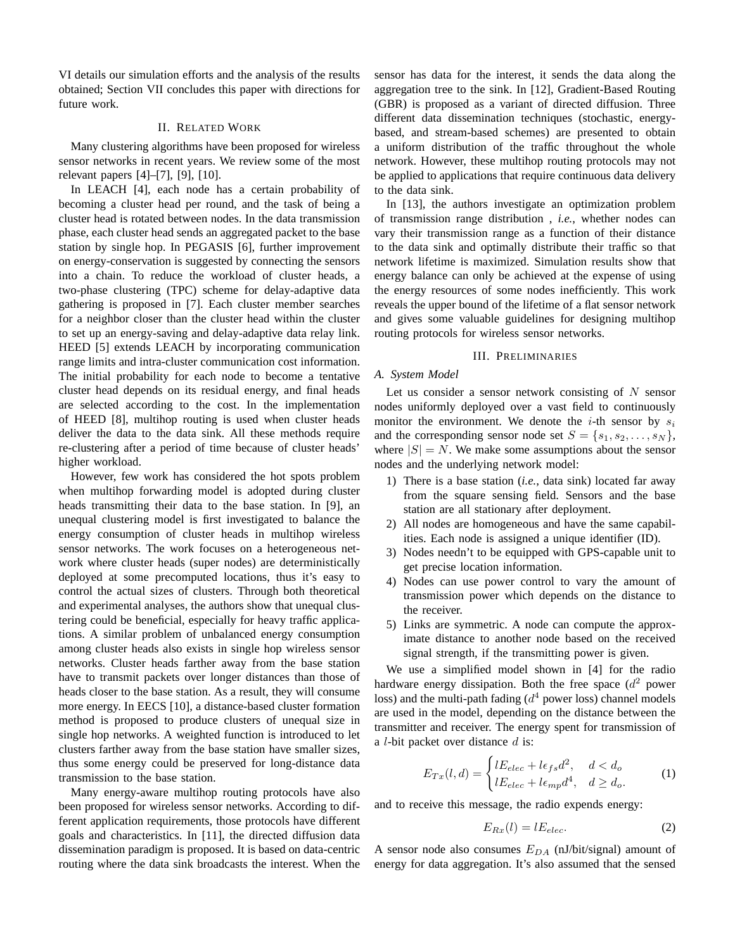VI details our simulation efforts and the analysis of the results obtained; Section VII concludes this paper with directions for future work.

# II. RELATED WORK

Many clustering algorithms have been proposed for wireless sensor networks in recent years. We review some of the most relevant papers [4]–[7], [9], [10].

In LEACH [4], each node has a certain probability of becoming a cluster head per round, and the task of being a cluster head is rotated between nodes. In the data transmission phase, each cluster head sends an aggregated packet to the base station by single hop. In PEGASIS [6], further improvement on energy-conservation is suggested by connecting the sensors into a chain. To reduce the workload of cluster heads, a two-phase clustering (TPC) scheme for delay-adaptive data gathering is proposed in [7]. Each cluster member searches for a neighbor closer than the cluster head within the cluster to set up an energy-saving and delay-adaptive data relay link. HEED [5] extends LEACH by incorporating communication range limits and intra-cluster communication cost information. The initial probability for each node to become a tentative cluster head depends on its residual energy, and final heads are selected according to the cost. In the implementation of HEED [8], multihop routing is used when cluster heads deliver the data to the data sink. All these methods require re-clustering after a period of time because of cluster heads' higher workload.

However, few work has considered the hot spots problem when multihop forwarding model is adopted during cluster heads transmitting their data to the base station. In [9], an unequal clustering model is first investigated to balance the energy consumption of cluster heads in multihop wireless sensor networks. The work focuses on a heterogeneous network where cluster heads (super nodes) are deterministically deployed at some precomputed locations, thus it's easy to control the actual sizes of clusters. Through both theoretical and experimental analyses, the authors show that unequal clustering could be beneficial, especially for heavy traffic applications. A similar problem of unbalanced energy consumption among cluster heads also exists in single hop wireless sensor networks. Cluster heads farther away from the base station have to transmit packets over longer distances than those of heads closer to the base station. As a result, they will consume more energy. In EECS [10], a distance-based cluster formation method is proposed to produce clusters of unequal size in single hop networks. A weighted function is introduced to let clusters farther away from the base station have smaller sizes, thus some energy could be preserved for long-distance data transmission to the base station.

Many energy-aware multihop routing protocols have also been proposed for wireless sensor networks. According to different application requirements, those protocols have different goals and characteristics. In [11], the directed diffusion data dissemination paradigm is proposed. It is based on data-centric routing where the data sink broadcasts the interest. When the

sensor has data for the interest, it sends the data along the aggregation tree to the sink. In [12], Gradient-Based Routing (GBR) is proposed as a variant of directed diffusion. Three different data dissemination techniques (stochastic, energybased, and stream-based schemes) are presented to obtain a uniform distribution of the traffic throughout the whole network. However, these multihop routing protocols may not be applied to applications that require continuous data delivery to the data sink.

In [13], the authors investigate an optimization problem of transmission range distribution , *i.e.*, whether nodes can vary their transmission range as a function of their distance to the data sink and optimally distribute their traffic so that network lifetime is maximized. Simulation results show that energy balance can only be achieved at the expense of using the energy resources of some nodes inefficiently. This work reveals the upper bound of the lifetime of a flat sensor network and gives some valuable guidelines for designing multihop routing protocols for wireless sensor networks.

# III. PRELIMINARIES

## *A. System Model*

Let us consider a sensor network consisting of  $N$  sensor nodes uniformly deployed over a vast field to continuously monitor the environment. We denote the *i*-th sensor by  $s_i$ and the corresponding sensor node set  $S = \{s_1, s_2, \ldots, s_N\},\$ where  $|S| = N$ . We make some assumptions about the sensor nodes and the underlying network model:

- 1) There is a base station (*i.e.*, data sink) located far away from the square sensing field. Sensors and the base station are all stationary after deployment.
- 2) All nodes are homogeneous and have the same capabilities. Each node is assigned a unique identifier (ID).
- 3) Nodes needn't to be equipped with GPS-capable unit to get precise location information.
- 4) Nodes can use power control to vary the amount of transmission power which depends on the distance to the receiver.
- 5) Links are symmetric. A node can compute the approximate distance to another node based on the received signal strength, if the transmitting power is given.

We use a simplified model shown in [4] for the radio hardware energy dissipation. Both the free space  $(d^2)$  power loss) and the multi-path fading  $(d<sup>4</sup>$  power loss) channel models are used in the model, depending on the distance between the transmitter and receiver. The energy spent for transmission of a  $l$ -bit packet over distance  $d$  is:

$$
E_{Tx}(l,d) = \begin{cases} lE_{elec} + l\epsilon_{fs}d^2, & d < d_o \\ lE_{elec} + l\epsilon_{mp}d^4, & d \ge d_o. \end{cases}
$$
 (1)

and to receive this message, the radio expends energy:

$$
E_{Rx}(l) = lE_{elec}.
$$
 (2)

A sensor node also consumes  $E_{DA}$  (nJ/bit/signal) amount of energy for data aggregation. It's also assumed that the sensed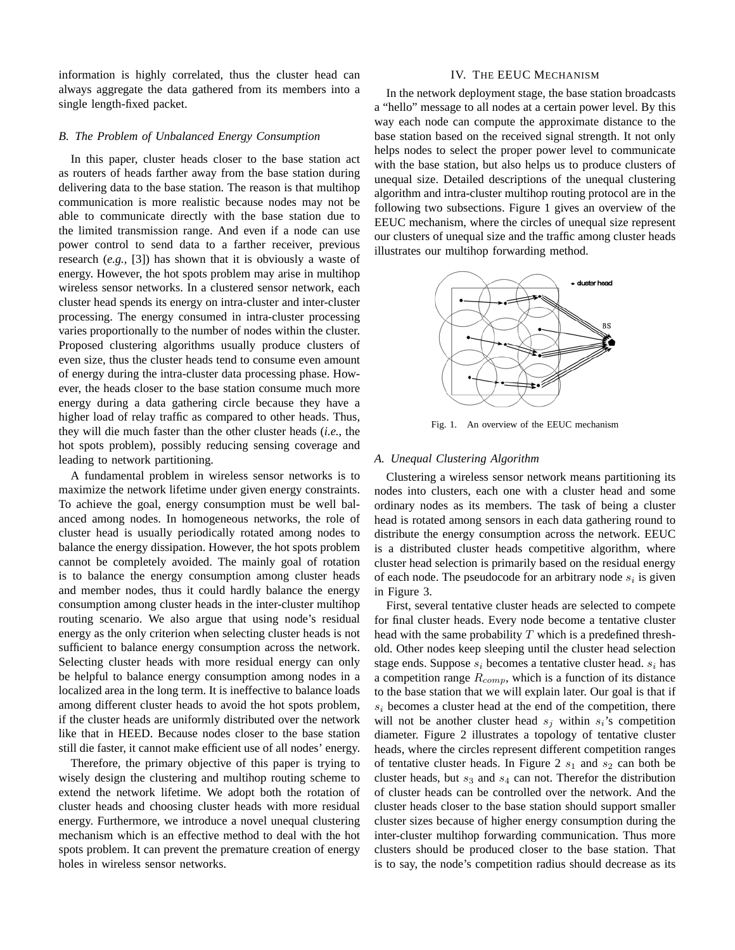information is highly correlated, thus the cluster head can always aggregate the data gathered from its members into a single length-fixed packet.

### *B. The Problem of Unbalanced Energy Consumption*

In this paper, cluster heads closer to the base station act as routers of heads farther away from the base station during delivering data to the base station. The reason is that multihop communication is more realistic because nodes may not be able to communicate directly with the base station due to the limited transmission range. And even if a node can use power control to send data to a farther receiver, previous research (*e.g.*, [3]) has shown that it is obviously a waste of energy. However, the hot spots problem may arise in multihop wireless sensor networks. In a clustered sensor network, each cluster head spends its energy on intra-cluster and inter-cluster processing. The energy consumed in intra-cluster processing varies proportionally to the number of nodes within the cluster. Proposed clustering algorithms usually produce clusters of even size, thus the cluster heads tend to consume even amount of energy during the intra-cluster data processing phase. However, the heads closer to the base station consume much more energy during a data gathering circle because they have a higher load of relay traffic as compared to other heads. Thus, they will die much faster than the other cluster heads (*i.e.*, the hot spots problem), possibly reducing sensing coverage and leading to network partitioning.

A fundamental problem in wireless sensor networks is to maximize the network lifetime under given energy constraints. To achieve the goal, energy consumption must be well balanced among nodes. In homogeneous networks, the role of cluster head is usually periodically rotated among nodes to balance the energy dissipation. However, the hot spots problem cannot be completely avoided. The mainly goal of rotation is to balance the energy consumption among cluster heads and member nodes, thus it could hardly balance the energy consumption among cluster heads in the inter-cluster multihop routing scenario. We also argue that using node's residual energy as the only criterion when selecting cluster heads is not sufficient to balance energy consumption across the network. Selecting cluster heads with more residual energy can only be helpful to balance energy consumption among nodes in a localized area in the long term. It is ineffective to balance loads among different cluster heads to avoid the hot spots problem, if the cluster heads are uniformly distributed over the network like that in HEED. Because nodes closer to the base station still die faster, it cannot make efficient use of all nodes' energy.

Therefore, the primary objective of this paper is trying to wisely design the clustering and multihop routing scheme to extend the network lifetime. We adopt both the rotation of cluster heads and choosing cluster heads with more residual energy. Furthermore, we introduce a novel unequal clustering mechanism which is an effective method to deal with the hot spots problem. It can prevent the premature creation of energy holes in wireless sensor networks.

#### IV. THE EEUC MECHANISM

In the network deployment stage, the base station broadcasts a "hello" message to all nodes at a certain power level. By this way each node can compute the approximate distance to the base station based on the received signal strength. It not only helps nodes to select the proper power level to communicate with the base station, but also helps us to produce clusters of unequal size. Detailed descriptions of the unequal clustering algorithm and intra-cluster multihop routing protocol are in the following two subsections. Figure 1 gives an overview of the EEUC mechanism, where the circles of unequal size represent our clusters of unequal size and the traffic among cluster heads illustrates our multihop forwarding method.



Fig. 1. An overview of the EEUC mechanism

## *A. Unequal Clustering Algorithm*

Clustering a wireless sensor network means partitioning its nodes into clusters, each one with a cluster head and some ordinary nodes as its members. The task of being a cluster head is rotated among sensors in each data gathering round to distribute the energy consumption across the network. EEUC is a distributed cluster heads competitive algorithm, where cluster head selection is primarily based on the residual energy of each node. The pseudocode for an arbitrary node  $s_i$  is given in Figure 3.

First, several tentative cluster heads are selected to compete for final cluster heads. Every node become a tentative cluster head with the same probability  $T$  which is a predefined threshold. Other nodes keep sleeping until the cluster head selection stage ends. Suppose  $s_i$  becomes a tentative cluster head.  $s_i$  has a competition range  $R_{comp}$ , which is a function of its distance to the base station that we will explain later. Our goal is that if  $s_i$  becomes a cluster head at the end of the competition, there will not be another cluster head  $s_i$  within  $s_i$ 's competition diameter. Figure 2 illustrates a topology of tentative cluster heads, where the circles represent different competition ranges of tentative cluster heads. In Figure 2  $s_1$  and  $s_2$  can both be cluster heads, but  $s_3$  and  $s_4$  can not. Therefor the distribution of cluster heads can be controlled over the network. And the cluster heads closer to the base station should support smaller cluster sizes because of higher energy consumption during the inter-cluster multihop forwarding communication. Thus more clusters should be produced closer to the base station. That is to say, the node's competition radius should decrease as its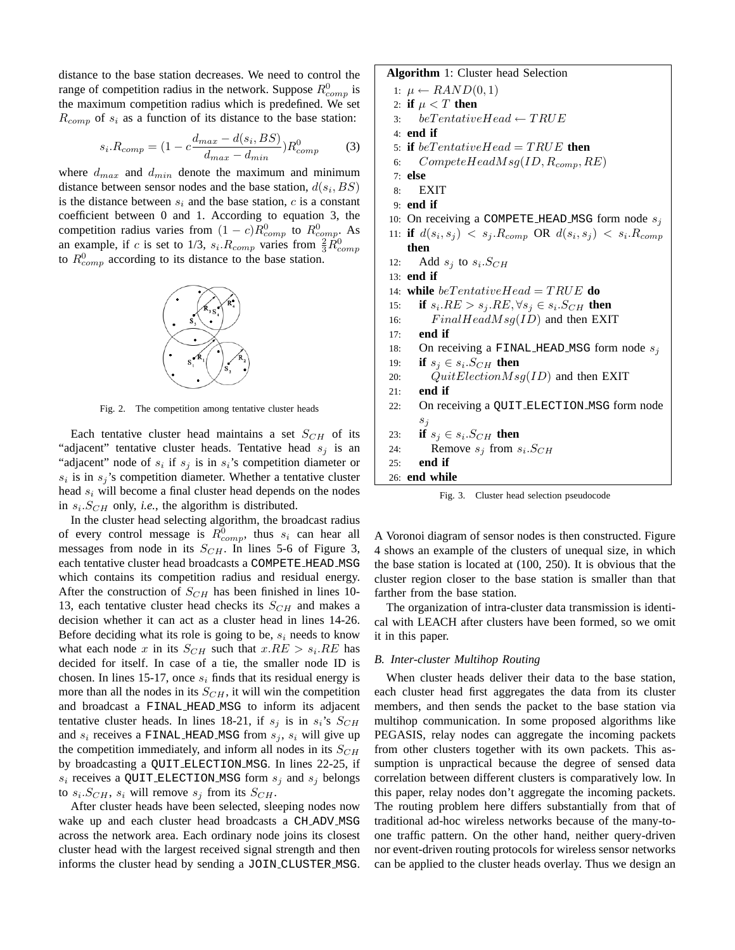distance to the base station decreases. We need to control the range of competition radius in the network. Suppose  $R_{comp}^0$  is the maximum competition radius which is predefined. We set  $R_{comp}$  of  $s_i$  as a function of its distance to the base station:

$$
s_i \cdot R_{comp} = (1 - c \frac{d_{max} - d(s_i, BS)}{d_{max} - d_{min}}) R_{comp}^0 \tag{3}
$$

where  $d_{max}$  and  $d_{min}$  denote the maximum and minimum distance between sensor nodes and the base station,  $d(s_i, BS)$ is the distance between  $s_i$  and the base station, c is a constant coefficient between 0 and 1. According to equation 3, the competition radius varies from  $(1 - c)R_{comp}^0$  to  $R_{comp}^0$ . As an example, if c is set to 1/3,  $s_i$ .  $R_{comp}$  varies from  $\frac{2}{3}R_{comp}^0$ to  $R_{comp}^0$  according to its distance to the base station.



Fig. 2. The competition among tentative cluster heads

Each tentative cluster head maintains a set  $S_{CH}$  of its "adjacent" tentative cluster heads. Tentative head  $s_j$  is an "adjacent" node of  $s_i$  if  $s_j$  is in  $s_i$ 's competition diameter or  $s_i$  is in  $s_j$ 's competition diameter. Whether a tentative cluster head  $s_i$  will become a final cluster head depends on the nodes in  $s_i.S_{CH}$  only, *i.e.*, the algorithm is distributed.

In the cluster head selecting algorithm, the broadcast radius of every control message is  $R_{comp}^0$ , thus  $s_i$  can hear all messages from node in its  $S_{CH}$ . In lines 5-6 of Figure 3, each tentative cluster head broadcasts a COMPETE HEAD MSG which contains its competition radius and residual energy. After the construction of  $S_{CH}$  has been finished in lines 10-13, each tentative cluster head checks its  $S_{CH}$  and makes a decision whether it can act as a cluster head in lines 14-26. Before deciding what its role is going to be,  $s_i$  needs to know what each node x in its  $S_{CH}$  such that  $x.RE > s_i.RE$  has decided for itself. In case of a tie, the smaller node ID is chosen. In lines 15-17, once  $s_i$  finds that its residual energy is more than all the nodes in its  $S_{CH}$ , it will win the competition and broadcast a FINAL HEAD MSG to inform its adjacent tentative cluster heads. In lines 18-21, if  $s_i$  is in  $s_i$ 's  $S_{CH}$ and  $s_i$  receives a FINAL HEAD MSG from  $s_i$ ,  $s_i$  will give up the competition immediately, and inform all nodes in its  $S_{CH}$ by broadcasting a QUIT ELECTION MSG. In lines 22-25, if  $s_i$  receives a QUIT ELECTION MSG form  $s_j$  and  $s_j$  belongs to  $s_i.S_{CH}, s_i$  will remove  $s_j$  from its  $S_{CH}.$ 

After cluster heads have been selected, sleeping nodes now wake up and each cluster head broadcasts a CH ADV MSG across the network area. Each ordinary node joins its closest cluster head with the largest received signal strength and then informs the cluster head by sending a JOIN CLUSTER MSG.

**Algorithm** 1: Cluster head Selection 1:  $\mu \leftarrow$  RAND(0, 1) 2: **if**  $\mu < T$  **then** 3:  $beTentativeHead \leftarrow TRUE$ 4: **end if** 5: **if**  $beTentativeHead = TRUE$  **then** 6:  $CompeteHeadMsg(ID, R_{comp}, RE)$ 7: **else** 8: EXIT 9: **end if** 10: On receiving a COMPETE\_HEAD\_MSG form node  $s_i$ 11: **if**  $d(s_i, s_j) < s_j.R_{comp}$  OR  $d(s_i, s_j) < s_i.R_{comp}$ **then** 12: Add  $s_j$  to  $s_i.S_{CH}$ 13: **end if** 14: **while**  $beTentativeHead = TRUE$  **do** 15: **if**  $s_i \cdot RE > s_j \cdot RE, \forall s_j \in s_i \cdot S_{CH}$  then 16: FinalHeadMsg(ID) and then EXIT 17: **end if** 18: On receiving a FINAL HEAD MSG form node  $s_i$ 19: **if**  $s_j \in s_i.S_{CH}$  **then** 20:  $QuitElectionMsg(ID)$  and then EXIT 21: **end if** 22: On receiving a QUIT ELECTION MSG form node  $s_i$ 23: **if**  $s_j \in s_i.S_{CH}$  **then** 24: Remove  $s_j$  from  $s_i.S_{CH}$ 25: **end if** 26: **end while**

Fig. 3. Cluster head selection pseudocode

A Voronoi diagram of sensor nodes is then constructed. Figure 4 shows an example of the clusters of unequal size, in which the base station is located at (100, 250). It is obvious that the cluster region closer to the base station is smaller than that farther from the base station.

The organization of intra-cluster data transmission is identical with LEACH after clusters have been formed, so we omit it in this paper.

# *B. Inter-cluster Multihop Routing*

When cluster heads deliver their data to the base station, each cluster head first aggregates the data from its cluster members, and then sends the packet to the base station via multihop communication. In some proposed algorithms like PEGASIS, relay nodes can aggregate the incoming packets from other clusters together with its own packets. This assumption is unpractical because the degree of sensed data correlation between different clusters is comparatively low. In this paper, relay nodes don't aggregate the incoming packets. The routing problem here differs substantially from that of traditional ad-hoc wireless networks because of the many-toone traffic pattern. On the other hand, neither query-driven nor event-driven routing protocols for wireless sensor networks can be applied to the cluster heads overlay. Thus we design an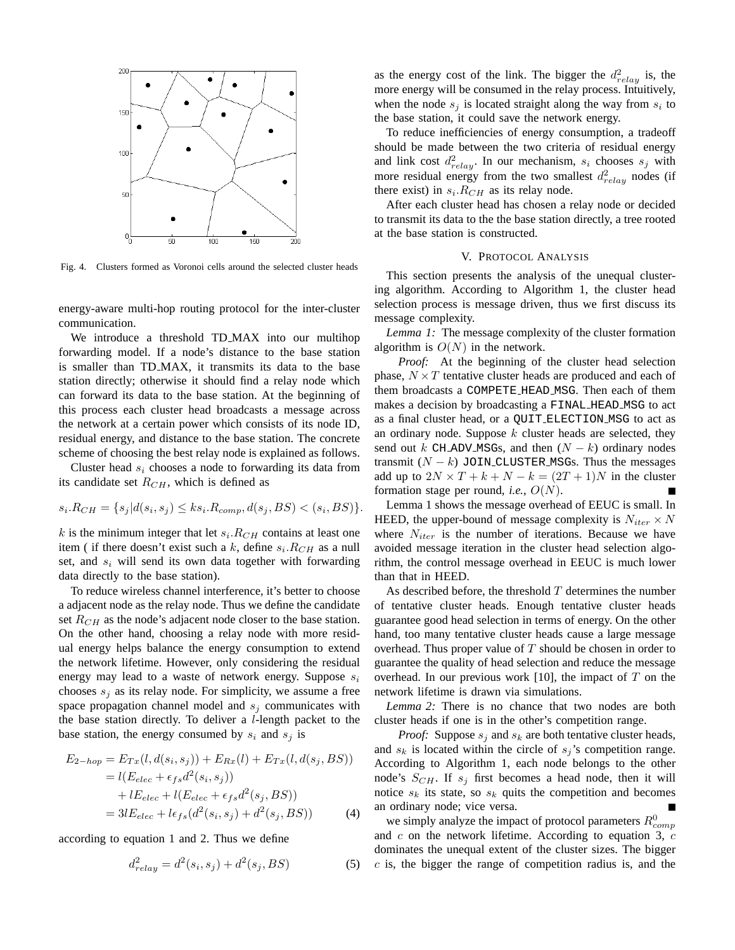

Fig. 4. Clusters formed as Voronoi cells around the selected cluster heads

energy-aware multi-hop routing protocol for the inter-cluster communication.

We introduce a threshold TD MAX into our multihop forwarding model. If a node's distance to the base station is smaller than TD MAX, it transmits its data to the base station directly; otherwise it should find a relay node which can forward its data to the base station. At the beginning of this process each cluster head broadcasts a message across the network at a certain power which consists of its node ID, residual energy, and distance to the base station. The concrete scheme of choosing the best relay node is explained as follows.

Cluster head  $s_i$  chooses a node to forwarding its data from its candidate set  $R_{CH}$ , which is defined as

$$
s_i \cdot R_{CH} = \{ s_j | d(s_i, s_j) \le ks_i \cdot R_{comp}, d(s_j, BS) < (s_i, BS) \}.
$$

 $k$  is the minimum integer that let  $s_i.R_{CH}$  contains at least one item (if there doesn't exist such a k, define  $s_i \cdot R_{CH}$  as a null set, and  $s_i$  will send its own data together with forwarding data directly to the base station).

To reduce wireless channel interference, it's better to choose a adjacent node as the relay node. Thus we define the candidate set  $R_{CH}$  as the node's adjacent node closer to the base station. On the other hand, choosing a relay node with more residual energy helps balance the energy consumption to extend the network lifetime. However, only considering the residual energy may lead to a waste of network energy. Suppose  $s_i$ chooses  $s_i$  as its relay node. For simplicity, we assume a free space propagation channel model and  $s_j$  communicates with the base station directly. To deliver a  $l$ -length packet to the base station, the energy consumed by  $s_i$  and  $s_j$  is

$$
E_{2-hop} = E_{Tx}(l, d(s_i, s_j)) + E_{Rx}(l) + E_{Tx}(l, d(s_j, BS))
$$
  
=  $l(E_{elec} + \epsilon_{fs}d^2(s_i, s_j))$   
+  $lE_{elec} + l(E_{elec} + \epsilon_{fs}d^2(s_j, BS))$   
=  $3lE_{elec} + l\epsilon_{fs}(d^2(s_i, s_j) + d^2(s_j, BS))$  (4)

according to equation 1 and 2. Thus we define

$$
d_{relay}^2 = d^2(s_i, s_j) + d^2(s_j, BS)
$$
 (5)

as the energy cost of the link. The bigger the  $d_{relay}^2$  is, the more energy will be consumed in the relay process. Intuitively, when the node  $s_j$  is located straight along the way from  $s_i$  to the base station, it could save the network energy.

To reduce inefficiencies of energy consumption, a tradeoff should be made between the two criteria of residual energy and link cost  $d_{relay}^2$ . In our mechanism,  $s_i$  chooses  $s_j$  with more residual energy from the two smallest  $d_{relay}^2$  nodes (if there exist) in  $s_i$ .  $R_{CH}$  as its relay node.

After each cluster head has chosen a relay node or decided to transmit its data to the the base station directly, a tree rooted at the base station is constructed.

## V. PROTOCOL ANALYSIS

This section presents the analysis of the unequal clustering algorithm. According to Algorithm 1, the cluster head selection process is message driven, thus we first discuss its message complexity.

*Lemma 1:* The message complexity of the cluster formation algorithm is  $O(N)$  in the network.

*Proof:* At the beginning of the cluster head selection phase,  $N \times T$  tentative cluster heads are produced and each of them broadcasts a COMPETE HEAD MSG. Then each of them makes a decision by broadcasting a FINAL HEAD MSG to act as a final cluster head, or a QUIT ELECTION MSG to act as an ordinary node. Suppose  $k$  cluster heads are selected, they send out k CH\_ADV\_MSGs, and then  $(N - k)$  ordinary nodes transmit  $(N - k)$  JOIN CLUSTER MSGs. Thus the messages add up to  $2N \times T + k + N - k = (2T + 1)N$  in the cluster formation stage per round, *i.e.*,  $O(N)$ .

Lemma 1 shows the message overhead of EEUC is small. In HEED, the upper-bound of message complexity is  $N_{iter} \times N$ where  $N_{iter}$  is the number of iterations. Because we have avoided message iteration in the cluster head selection algorithm, the control message overhead in EEUC is much lower than that in HEED.

As described before, the threshold  $T$  determines the number of tentative cluster heads. Enough tentative cluster heads guarantee good head selection in terms of energy. On the other hand, too many tentative cluster heads cause a large message overhead. Thus proper value of  $T$  should be chosen in order to guarantee the quality of head selection and reduce the message overhead. In our previous work [10], the impact of  $T$  on the network lifetime is drawn via simulations.

*Lemma 2:* There is no chance that two nodes are both cluster heads if one is in the other's competition range.

*Proof:* Suppose  $s_j$  and  $s_k$  are both tentative cluster heads, and  $s_k$  is located within the circle of  $s_i$ 's competition range. According to Algorithm 1, each node belongs to the other node's  $S_{CH}$ . If  $s_j$  first becomes a head node, then it will notice  $s_k$  its state, so  $s_k$  quits the competition and becomes an ordinary node; vice versa.

we simply analyze the impact of protocol parameters  $R_{comp}^0$ and  $c$  on the network lifetime. According to equation 3,  $c$ dominates the unequal extent of the cluster sizes. The bigger  $c$  is, the bigger the range of competition radius is, and the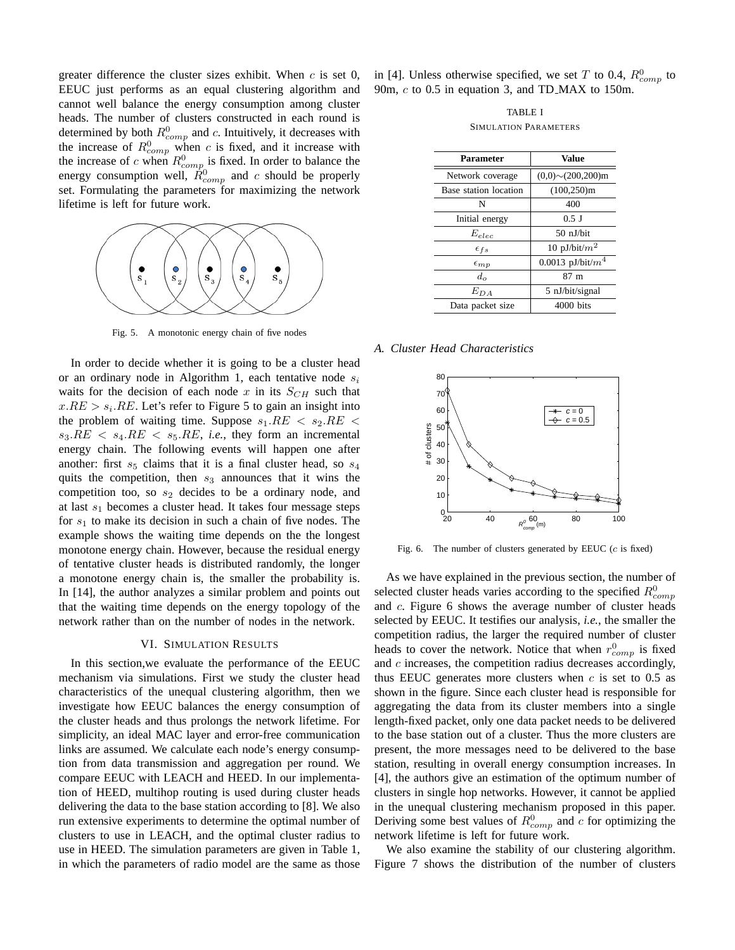greater difference the cluster sizes exhibit. When  $c$  is set 0, EEUC just performs as an equal clustering algorithm and cannot well balance the energy consumption among cluster heads. The number of clusters constructed in each round is determined by both  $R_{comp}^0$  and c. Intuitively, it decreases with the increase of  $R_{comp}^0$  when c is fixed, and it increase with the increase of c when  $R_{comp}^0$  is fixed. In order to balance the energy consumption well,  $\dot{R}_{comp}^0$  and c should be properly set. Formulating the parameters for maximizing the network lifetime is left for future work.



Fig. 5. A monotonic energy chain of five nodes

In order to decide whether it is going to be a cluster head or an ordinary node in Algorithm 1, each tentative node  $s_i$ waits for the decision of each node x in its  $S_{CH}$  such that  $x.RE > s_i.RE$ . Let's refer to Figure 5 to gain an insight into the problem of waiting time. Suppose  $s_1$ .  $RE < s_2$ .  $RE <$  $s_3.RE < s_4.RE < s_5.RE$ , *i.e.*, they form an incremental energy chain. The following events will happen one after another: first  $s_5$  claims that it is a final cluster head, so  $s_4$ quits the competition, then  $s_3$  announces that it wins the competition too, so  $s_2$  decides to be a ordinary node, and at last  $s_1$  becomes a cluster head. It takes four message steps for  $s_1$  to make its decision in such a chain of five nodes. The example shows the waiting time depends on the the longest monotone energy chain. However, because the residual energy of tentative cluster heads is distributed randomly, the longer a monotone energy chain is, the smaller the probability is. In [14], the author analyzes a similar problem and points out that the waiting time depends on the energy topology of the network rather than on the number of nodes in the network.

#### VI. SIMULATION RESULTS

In this section,we evaluate the performance of the EEUC mechanism via simulations. First we study the cluster head characteristics of the unequal clustering algorithm, then we investigate how EEUC balances the energy consumption of the cluster heads and thus prolongs the network lifetime. For simplicity, an ideal MAC layer and error-free communication links are assumed. We calculate each node's energy consumption from data transmission and aggregation per round. We compare EEUC with LEACH and HEED. In our implementation of HEED, multihop routing is used during cluster heads delivering the data to the base station according to [8]. We also run extensive experiments to determine the optimal number of clusters to use in LEACH, and the optimal cluster radius to use in HEED. The simulation parameters are given in Table 1, in which the parameters of radio model are the same as those

in [4]. Unless otherwise specified, we set T to 0.4,  $R_{comp}^0$  to 90m, c to 0.5 in equation 3, and TD MAX to 150m.

TABLE I SIMULATION PARAMETERS

| <b>Parameter</b>      | <b>Value</b>            |
|-----------------------|-------------------------|
| Network coverage      | $(0,0)$ ~ $(200,200)$ m |
| Base station location | $(100, 250)$ m          |
| N                     | 400                     |
| Initial energy        | $0.5$ J                 |
| $E_{elec}$            | $50$ nJ/bit             |
| $\epsilon_{fs}$       | 10 pJ/bit/ $m^2$        |
| $\epsilon_{mp}$       | 0.0013 pJ/bit/ $m4$     |
| $d_{\alpha}$          | 87 m                    |
| $E_{DA}$              | 5 nJ/bit/signal         |
| Data packet size      | $4000$ bits             |

#### *A. Cluster Head Characteristics*



Fig. 6. The number of clusters generated by EEUC  $(c \text{ is fixed})$ 

As we have explained in the previous section, the number of selected cluster heads varies according to the specified  $R_{comp}^0$ and c. Figure 6 shows the average number of cluster heads selected by EEUC. It testifies our analysis, *i.e.*, the smaller the competition radius, the larger the required number of cluster heads to cover the network. Notice that when  $r_{comp}^0$  is fixed and c increases, the competition radius decreases accordingly, thus EEUC generates more clusters when  $c$  is set to 0.5 as shown in the figure. Since each cluster head is responsible for aggregating the data from its cluster members into a single length-fixed packet, only one data packet needs to be delivered to the base station out of a cluster. Thus the more clusters are present, the more messages need to be delivered to the base station, resulting in overall energy consumption increases. In [4], the authors give an estimation of the optimum number of clusters in single hop networks. However, it cannot be applied in the unequal clustering mechanism proposed in this paper. Deriving some best values of  $R_{comp}^0$  and c for optimizing the network lifetime is left for future work.

We also examine the stability of our clustering algorithm. Figure 7 shows the distribution of the number of clusters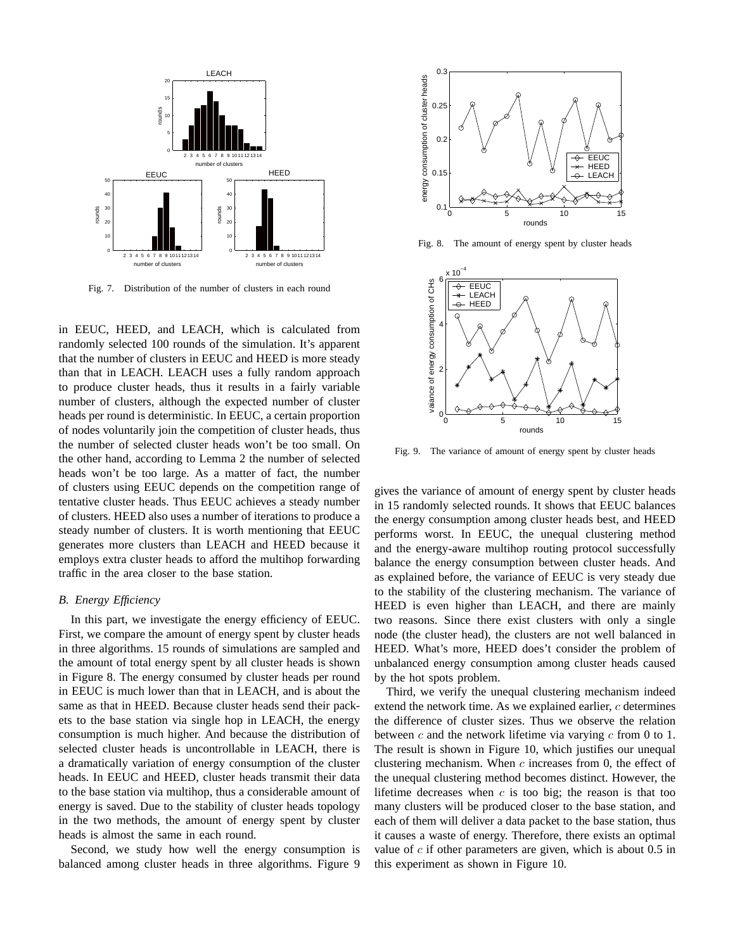

Fig. 7. Distribution of the number of clusters in each round

in EEUC, HEED, and LEACH, which is calculated from randomly selected 100 rounds of the simulation. It's apparent that the number of clusters in EEUC and HEED is more steady than that in LEACH. LEACH uses a fully random approach to produce cluster heads, thus it results in a fairly variable number of clusters, although the expected number of cluster heads per round is deterministic. In EEUC, a certain proportion of nodes voluntarily join the competition of cluster heads, thus the number of selected cluster heads won't be too small. On the other hand, according to Lemma 2 the number of selected heads won't be too large. As a matter of fact, the number of clusters using EEUC depends on the competition range of tentative cluster heads. Thus EEUC achieves a steady number of clusters. HEED also uses a number of iterations to produce a steady number of clusters. It is worth mentioning that EEUC generates more clusters than LEACH and HEED because it employs extra cluster heads to afford the multihop forwarding traffic in the area closer to the base station.

## *B. Energy Efficiency*

In this part, we investigate the energy efficiency of EEUC. First, we compare the amount of energy spent by cluster heads in three algorithms. 15 rounds of simulations are sampled and the amount of total energy spent by all cluster heads is shown in Figure 8. The energy consumed by cluster heads per round in EEUC is much lower than that in LEACH, and is about the same as that in HEED. Because cluster heads send their packets to the base station via single hop in LEACH, the energy consumption is much higher. And because the distribution of selected cluster heads is uncontrollable in LEACH, there is a dramatically variation of energy consumption of the cluster heads. In EEUC and HEED, cluster heads transmit their data to the base station via multihop, thus a considerable amount of energy is saved. Due to the stability of cluster heads topology in the two methods, the amount of energy spent by cluster heads is almost the same in each round.

Second, we study how well the energy consumption is balanced among cluster heads in three algorithms. Figure 9



Fig. 8. The amount of energy spent by cluster heads



Fig. 9. The variance of amount of energy spent by cluster heads

gives the variance of amount of energy spent by cluster heads in 15 randomly selected rounds. It shows that EEUC balances the energy consumption among cluster heads best, and HEED performs worst. In EEUC, the unequal clustering method and the energy-aware multihop routing protocol successfully balance the energy consumption between cluster heads. And as explained before, the variance of EEUC is very steady due to the stability of the clustering mechanism. The variance of HEED is even higher than LEACH, and there are mainly two reasons. Since there exist clusters with only a single node (the cluster head), the clusters are not well balanced in HEED. What's more, HEED does't consider the problem of unbalanced energy consumption among cluster heads caused by the hot spots problem.

Third, we verify the unequal clustering mechanism indeed extend the network time. As we explained earlier,  $c$  determines the difference of cluster sizes. Thus we observe the relation between  $c$  and the network lifetime via varying  $c$  from 0 to 1. The result is shown in Figure 10, which justifies our unequal clustering mechanism. When  $c$  increases from 0, the effect of the unequal clustering method becomes distinct. However, the lifetime decreases when  $c$  is too big; the reason is that too many clusters will be produced closer to the base station, and each of them will deliver a data packet to the base station, thus it causes a waste of energy. Therefore, there exists an optimal value of  $c$  if other parameters are given, which is about  $0.5$  in this experiment as shown in Figure 10.